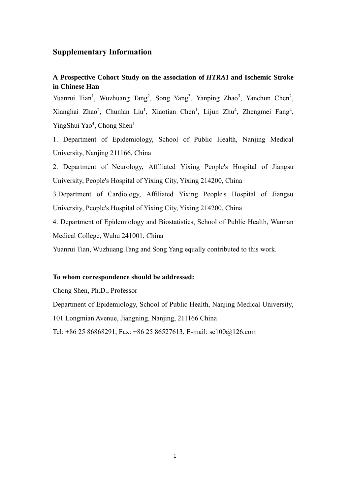# **Supplementary Information**

# **A Prospective Cohort Study on the association of** *HTRA1* **and Ischemic Stroke in Chinese Han**

Yuanrui Tian<sup>1</sup>, Wuzhuang Tang<sup>2</sup>, Song Yang<sup>3</sup>, Yanping Zhao<sup>3</sup>, Yanchun Chen<sup>2</sup>, Xianghai Zhao<sup>2</sup>, Chunlan Liu<sup>1</sup>, Xiaotian Chen<sup>1</sup>, Lijun Zhu<sup>4</sup>, Zhengmei Fang<sup>4</sup>, YingShui Yao<sup>4</sup>, Chong Shen<sup>1</sup>

1. Department of Epidemiology, School of Public Health, Nanjing Medical University, Nanjing 211166, China

2. Department of Neurology, Affiliated Yixing People's Hospital of Jiangsu University, People's Hospital of Yixing City, Yixing 214200, China

3.Department of Cardiology, Affiliated Yixing People's Hospital of Jiangsu University, People's Hospital of Yixing City, Yixing 214200, China

4. Department of Epidemiology and Biostatistics, School of Public Health, Wannan Medical College, Wuhu 241001, China

Yuanrui Tian, Wuzhuang Tang and Song Yang equally contributed to this work.

#### **To whom correspondence should be addressed:**

Chong Shen, Ph.D., Professor

Department of Epidemiology, School of Public Health, Nanjing Medical University,

101 Longmian Avenue, Jiangning, Nanjing, 211166 China

Tel: +86 25 86868291, Fax: +86 25 86527613, E-mail: [sc100@126.com](mailto:sc100@126.com)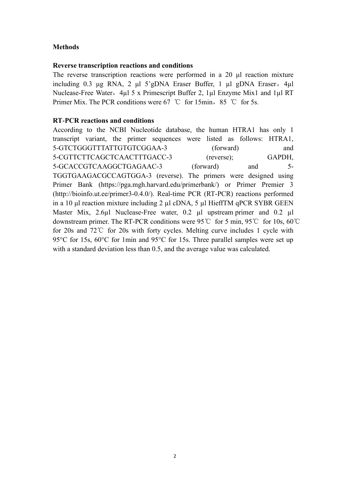# **Methods**

#### **Reverse transcription reactions and conditions**

The reverse transcription reactions were performed in a 20 μl reaction mixture including 0.3 μg RNA, 2 μl 5'gDNA Eraser Buffer, 1 μl gDNA Eraser, 4μl Nuclease-Free Water, 4µl 5 x Primescript Buffer 2, 1µl Enzyme Mix1 and 1µl RT Primer Mix. The PCR conditions were 67 °C for 15min, 85 °C for 5s.

## **RT-PCR reactions and conditions**

According to the NCBI Nucleotide database, the human HTRA1 has only 1 transcript variant, the primer sequences were listed as follows: HTRA1, 5-GTCTGGGTTTATTGTGTCGGAA-3 (forward) and 5-CGTTCTTCAGCTCAACTTTGACC-3 (reverse); GAPDH, 5-GCACCGTCAAGGCTGAGAAC-3 (forward) and 5- TGGTGAAGACGCCAGTGGA-3 (reverse). The primers were designed using Primer Bank (https://pga.mgh.harvard.edu/primerbank/) or Primer Premier 3 (http://bioinfo.ut.ee/primer3-0.4.0/). Real-time PCR (RT-PCR) reactions performed in a 10 μl reaction mixture including 2 µl cDNA, 5 µl HieffTM qPCR SYBR GEEN Master Mix, 2.6µl Nuclease-Free water, 0.2 µl upstream primer and 0.2 µl downstream primer. The RT-PCR conditions were 95℃ for 5 min, 95℃ for 10s, 60℃ for 20s and 72℃ for 20s with forty cycles. Melting curve includes 1 cycle with 95°C for 15s, 60°C for 1min and 95°C for 15s. Three parallel samples were set up with a standard deviation less than 0.5, and the average value was calculated.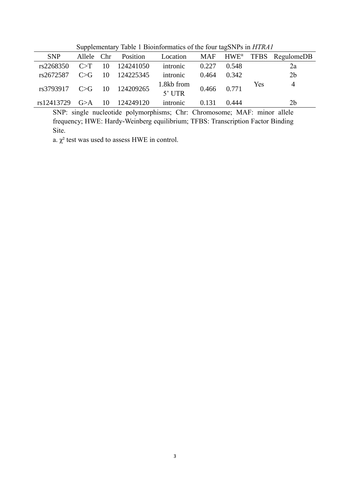| $\sigma$ or $\sigma$ and $\sigma$ and $\sigma$ is the matrix of the total digital surface that $\sigma$ |            |    |              |                                      |       |       |     |                                                          |  |  |  |
|---------------------------------------------------------------------------------------------------------|------------|----|--------------|--------------------------------------|-------|-------|-----|----------------------------------------------------------|--|--|--|
| <b>SNP</b>                                                                                              | Allele Chr |    | Position     | Location                             |       |       |     | $MAF$ HWE <sup><math>\alpha</math></sup> TFBS RegulomeDB |  |  |  |
| rs2268350                                                                                               | C>T        | 10 | 124241050    | intronic                             | 0.227 | 0.548 |     | 2a                                                       |  |  |  |
| rs2672587                                                                                               | C>G        | 10 | 124225345    | intronic                             | 0.464 | 0.342 |     | 2 <sub>b</sub>                                           |  |  |  |
| $rs3793917 \quad C > G$                                                                                 |            |    | 10 124209265 | 1.8kb from $0.466$ 0.771<br>$5'$ UTR |       |       | Yes | $\overline{4}$                                           |  |  |  |
| rs12413729                                                                                              | G>A        | 10 | 124249120    | intronic                             | 0.131 | 0.444 |     | 2 <sub>b</sub>                                           |  |  |  |

Supplementary Table 1 Bioinformatics of the four tagSNPs in *HTRA1*

SNP: single nucleotide polymorphisms; Chr: Chromosome; MAF: minor allele frequency; HWE: Hardy-Weinberg equilibrium; TFBS: Transcription Factor Binding Site.

a.  $\chi^2$  test was used to assess HWE in control.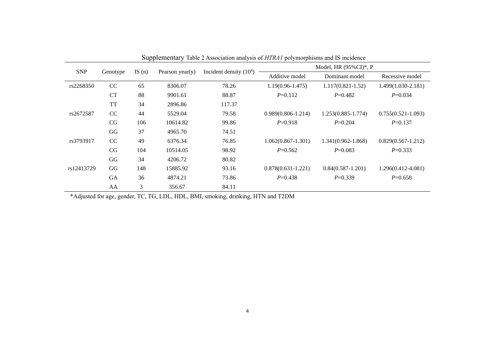|            |           |          |                 |                          |                        | Model, HR $(95\%CI)*$ , P |                        |
|------------|-----------|----------|-----------------|--------------------------|------------------------|---------------------------|------------------------|
| <b>SNP</b> | Genotype  | IS $(n)$ | Pearson year(y) | Incident density $(104)$ | Additive model         | Dominant model            | Recessive model        |
| rs2268350  | CC        | 65       | 8306.07         | 78.26                    | $1.19(0.96 - 1.475)$   | $1.117(0.821 - 1.52)$     | $1.499(1.030-2.181)$   |
|            | CT        | 88       | 9901.61         | 88.87                    | $P=0.112$              | $P=0.482$                 | $P=0.034$              |
|            | <b>TT</b> | 34       | 2896.86         | 117.37                   |                        |                           |                        |
| rs2672587  | CC        | 44       | 5529.04         | 79.58                    | $0.989(0.806 - 1.214)$ | $1.253(0.885 - 1.774)$    | $0.755(0.521-1.093)$   |
|            | CG        | 106      | 10614.82        | 99.86                    | $P=0.918$              | $P=0.204$                 | $P=0.137$              |
|            | GG        | 37       | 4965.70         | 74.51                    |                        |                           |                        |
| rs3793917  | CC        | 49       | 6376.34         | 76.85                    | $1.062(0.867-1.301)$   | $1.341(0.962 - 1.868)$    | $0.829(0.567 - 1.212)$ |
|            | CG        | 104      | 10514.05        | 98.92                    | $P=0.562$              | $P=0.083$                 | $P=0.333$              |
|            | GG        | 34       | 4206.72         | 80.82                    |                        |                           |                        |
| rs12413729 | GG        | 148      | 15885.92        | 93.16                    | $0.878(0.631 - 1.221)$ | $0.84(0.587-1.201)$       | $1.296(0.412 - 4.081)$ |
|            | <b>GA</b> | 36       | 4874.21         | 73.86                    | $P=0.438$              | $P=0.339$                 | $P=0.658$              |
|            | AA        | 3        | 356.67          | 84.11                    |                        |                           |                        |

Supplementary Table 2 Association analysis of *HTRA1* polymorphisms and IS incidence

\*Adjusted for age, gender, TC, TG, LDL, HDL, BMI, smoking, drinking, HTN and T2DM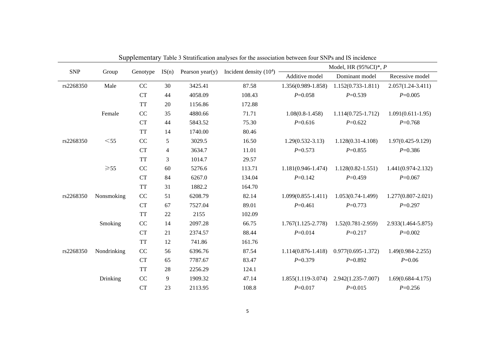|            |                |           |                  |         |                                                 |                        | Model, HR $(95\%CI)*$ , P                 |                        |  |  |
|------------|----------------|-----------|------------------|---------|-------------------------------------------------|------------------------|-------------------------------------------|------------------------|--|--|
| <b>SNP</b> | Group          | Genotype  |                  |         | IS(n) Pearson year(y) Incident density $(10^4)$ | Additive model         | Dominant model                            | Recessive model        |  |  |
| rs2268350  | Male           | $\rm CC$  | 30               | 3425.41 | 87.58                                           | 1.356(0.989-1.858)     | $1.152(0.733 - 1.811)$                    | $2.057(1.24 - 3.411)$  |  |  |
|            |                | <b>CT</b> | 44               | 4058.09 | 108.43                                          | $P=0.058$              | $P=0.539$                                 | $P=0.005$              |  |  |
|            |                | <b>TT</b> | 20               | 1156.86 | 172.88                                          |                        |                                           |                        |  |  |
|            | Female         | CC        | 35               | 4880.66 | 71.71                                           | $1.08(0.8-1.458)$      | $1.114(0.725 - 1.712)$                    | $1.091(0.611-1.95)$    |  |  |
|            |                | <b>CT</b> | 44               | 5843.52 | 75.30                                           | $P=0.616$              | $P=0.622$                                 | $P=0.768$              |  |  |
|            |                | <b>TT</b> | 14               | 1740.00 | 80.46                                           |                        |                                           |                        |  |  |
| rs2268350  | $<$ 55         | CC        | 5                | 3029.5  | 16.50                                           | $1.29(0.532 - 3.13)$   | $1.128(0.31 - 4.108)$                     | $1.97(0.425 - 9.129)$  |  |  |
|            |                | <b>CT</b> | $\overline{4}$   | 3634.7  | 11.01                                           | $P=0.573$              | $P=0.855$                                 | $P=0.386$              |  |  |
|            |                | <b>TT</b> | 3                | 1014.7  | 29.57                                           |                        |                                           |                        |  |  |
|            | $\geqslant$ 55 | CC        | 60               | 5276.6  | 113.71                                          | $1.181(0.946-1.474)$   | $1.128(0.82 - 1.551)$                     | $1.441(0.974 - 2.132)$ |  |  |
|            |                | <b>CT</b> | 84               | 6267.0  | 134.04                                          | $P=0.142$              | $P=0.459$                                 | $P=0.067$              |  |  |
|            |                | <b>TT</b> | 31               | 1882.2  | 164.70                                          |                        |                                           |                        |  |  |
| rs2268350  | Nonsmoking     | $\rm CC$  | 51               | 6208.79 | 82.14                                           | $1.099(0.855 - 1.411)$ | $1.053(0.74-1.499)$                       | $1.277(0.807 - 2.021)$ |  |  |
|            |                | CT        | 67               | 7527.04 | 89.01                                           | $P=0.461$              | $P=0.773$                                 | $P=0.297$              |  |  |
|            |                | <b>TT</b> | 22               | 2155    | 102.09                                          |                        |                                           |                        |  |  |
|            | Smoking        | CC        | 14               | 2097.28 | 66.75                                           | $1.767(1.125 - 2.778)$ | $1.52(0.781 - 2.959)$                     | 2.933(1.464-5.875)     |  |  |
|            |                | <b>CT</b> | 21               | 2374.57 | 88.44                                           | $P = 0.014$            | $P = 0.217$                               | $P=0.002$              |  |  |
|            |                | <b>TT</b> | 12               | 741.86  | 161.76                                          |                        |                                           |                        |  |  |
| rs2268350  | Nondrinking    | $\rm CC$  | 56               | 6396.76 | 87.54                                           | $1.114(0.876 - 1.418)$ | $0.977(0.695 - 1.372)$                    | $1.49(0.984 - 2.255)$  |  |  |
|            |                | <b>CT</b> | 65               | 7787.67 | 83.47                                           | $P=0.379$              | $P=0.892$                                 | $P=0.06$               |  |  |
|            |                | <b>TT</b> | 28               | 2256.29 | 124.1                                           |                        |                                           |                        |  |  |
|            | Drinking       | $\rm CC$  | $\boldsymbol{9}$ | 1909.32 | 47.14                                           |                        | $1.855(1.119-3.074)$ $2.942(1.235-7.007)$ | $1.69(0.684 - 4.175)$  |  |  |
|            |                | <b>CT</b> | 23               | 2113.95 | 108.8                                           | $P = 0.017$            | $P=0.015$                                 | $P=0.256$              |  |  |

Supplementary Table 3 Stratification analyses for the association between four SNPs and IS incidence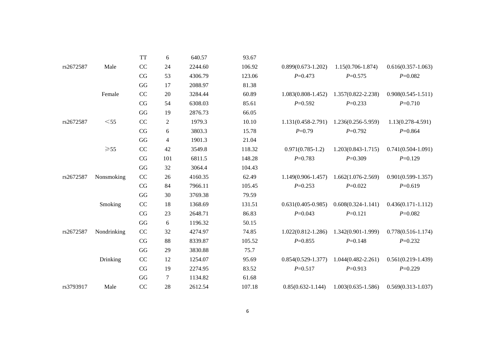|           |                | <b>TT</b>              | 6              | 640.57  | 93.67  |                        |                        |                        |
|-----------|----------------|------------------------|----------------|---------|--------|------------------------|------------------------|------------------------|
| rs2672587 | Male           | CC                     | 24             | 2244.60 | 106.92 | $0.899(0.673-1.202)$   | $1.15(0.706 - 1.874)$  | $0.616(0.357 - 1.063)$ |
|           |                | $\rm{CG}$              | 53             | 4306.79 | 123.06 | $P = 0.473$            | $P=0.575$              | $P=0.082$              |
|           |                | $\mathbf{G}\mathbf{G}$ | 17             | 2088.97 | 81.38  |                        |                        |                        |
|           | Female         | CC                     | 20             | 3284.44 | 60.89  | $1.083(0.808-1.452)$   | $1.357(0.822 - 2.238)$ | $0.908(0.545 - 1.511)$ |
|           |                | CG                     | 54             | 6308.03 | 85.61  | $P=0.592$              | $P=0.233$              | $P=0.710$              |
|           |                | $\mathbf{G}\mathbf{G}$ | 19             | 2876.73 | 66.05  |                        |                        |                        |
| rs2672587 | $<$ 55         | CC                     | $\overline{2}$ | 1979.3  | 10.10  | $1.131(0.458 - 2.791)$ | 1.236(0.256-5.959)     | $1.13(0.278 - 4.591)$  |
|           |                | CG                     | $\sqrt{6}$     | 3803.3  | 15.78  | $P = 0.79$             | $P=0.792$              | $P=0.864$              |
|           |                | GG                     | $\overline{4}$ | 1901.3  | 21.04  |                        |                        |                        |
|           | $\geqslant$ 55 | CC                     | 42             | 3549.8  | 118.32 | $0.971(0.785-1.2)$     | $1.203(0.843 - 1.715)$ | $0.741(0.504 - 1.091)$ |
|           |                | $\rm{CG}$              | 101            | 6811.5  | 148.28 | $P=0.783$              | $P=0.309$              | $P=0.129$              |
|           |                | $\mathbf{G}\mathbf{G}$ | 32             | 3064.4  | 104.43 |                        |                        |                        |
| rs2672587 | Nonsmoking     | $\rm CC$               | 26             | 4160.35 | 62.49  | $1.149(0.906 - 1.457)$ | $1.662(1.076-2.569)$   | $0.901(0.599 - 1.357)$ |
|           |                | $\rm{CG}$              | 84             | 7966.11 | 105.45 | $P=0.253$              | $P=0.022$              | $P=0.619$              |
|           |                | GG                     | 30             | 3769.38 | 79.59  |                        |                        |                        |
|           | Smoking        | CC                     | 18             | 1368.69 | 131.51 | $0.631(0.405-0.985)$   | $0.608(0.324 - 1.141)$ | $0.436(0.171 - 1.112)$ |
|           |                | CG                     | 23             | 2648.71 | 86.83  | $P=0.043$              | $P=0.121$              | $P=0.082$              |
|           |                | $\mathbf{G}\mathbf{G}$ | 6              | 1196.32 | 50.15  |                        |                        |                        |
| rs2672587 | Nondrinking    | $\rm CC$               | 32             | 4274.97 | 74.85  | $1.022(0.812 - 1.286)$ | $1.342(0.901-1.999)$   | $0.778(0.516 - 1.174)$ |
|           |                | CG                     | 88             | 8339.87 | 105.52 | $P=0.855$              | $P=0.148$              | $P=0.232$              |
|           |                | $\mathbf{G}\mathbf{G}$ | 29             | 3830.88 | 75.7   |                        |                        |                        |
|           | Drinking       | CC                     | 12             | 1254.07 | 95.69  | $0.854(0.529-1.377)$   | $1.044(0.482 - 2.261)$ | $0.561(0.219-1.439)$   |
|           |                | CG                     | 19             | 2274.95 | 83.52  | $P = 0.517$            | $P=0.913$              | $P=0.229$              |
|           |                | GG                     | 7              | 1134.82 | 61.68  |                        |                        |                        |
| rs3793917 | Male           | CC                     | 28             | 2612.54 | 107.18 | $0.85(0.632 - 1.144)$  | $1.003(0.635 - 1.586)$ | $0.569(0.313 - 1.037)$ |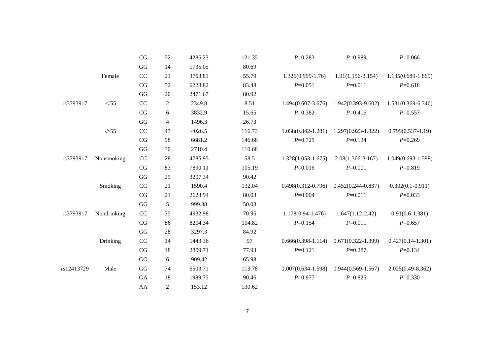|            |                | CG                     | 52             | 4285.23 | 121.35 | $P = 0.283$            | $P=0.989$              | $P = 0.066$            |
|------------|----------------|------------------------|----------------|---------|--------|------------------------|------------------------|------------------------|
|            |                | GG                     | 14             | 1735.05 | 80.69  |                        |                        |                        |
|            | Female         | CC                     | 21             | 3763.81 | 55.79  | $1.326(0.999-1.76)$    | $1.91(1.156 - 3.154)$  | 1.135(0.689-1.869)     |
|            |                | CG                     | 52             | 6228.82 | 83.48  | $P = 0.051$            | $P=0.011$              | $P=0.618$              |
|            |                | $\mathbf{G}\mathbf{G}$ | $20\,$         | 2471.67 | 80.92  |                        |                        |                        |
| rs3793917  | $<$ 55         | CC                     | $\overline{c}$ | 2349.8  | 8.51   | $1.494(0.607 - 3.676)$ | $1.942(0.393 - 9.602)$ | $1.531(0.369 - 6.346)$ |
|            |                | CG                     | 6              | 3832.9  | 15.65  | $P=0.382$              | $P=0.416$              | $P=0.557$              |
|            |                | GG                     | 4              | 1496.3  | 26.73  |                        |                        |                        |
|            | $\geqslant$ 55 | CC                     | 47             | 4026.5  | 116.73 | $1.038(0.842 - 1.281)$ | $1.297(0.923 - 1.822)$ | $0.799(0.537-1.19)$    |
|            |                | CG                     | 98             | 6681.2  | 146.68 | $P=0.725$              | $P=0.134$              | $P=0.269$              |
|            |                | GG                     | 30             | 2710.4  | 110.68 |                        |                        |                        |
| rs3793917  | Nonsmoking     | CC                     | 28             | 4785.95 | 58.5   | $1.328(1.053 - 1.675)$ | $2.08(1.366 - 3.167)$  | $1.049(0.693 - 1.588)$ |
|            |                | CG                     | 83             | 7890.11 | 105.19 | $P=0.016$              | $P=0.001$              | $P=0.819$              |
|            |                | GG                     | 29             | 3207.34 | 90.42  |                        |                        |                        |
|            | Smoking        | CC                     | 21             | 1590.4  | 132.04 | $0.498(0.312 - 0.796)$ | $0.452(0.244 - 0.837)$ | $0.302(0.1 - 0.911)$   |
|            |                | CG                     | 21             | 2623.94 | 80.03  | $P = 0.004$            | $P = 0.011$            | $P=0.033$              |
|            |                | $\mathbf{G}\mathbf{G}$ | 5              | 999.38  | 50.03  |                        |                        |                        |
| rs3793917  | Nondrinking    | CC                     | 35             | 4932.98 | 70.95  | $1.178(0.94 - 1.476)$  | $1.647(1.12 - 2.42)$   | $0.91(0.6-1.381)$      |
|            |                | CG                     | 86             | 8204.34 | 104.82 | $P=0.154$              | $P=0.011$              | $P=0.657$              |
|            |                | GG                     | 28             | 3297.3  | 84.92  |                        |                        |                        |
|            | Drinking       | CC                     | 14             | 1443.36 | 97     | $0.666(0.398-1.114)$   | $0.671(0.322 - 1.399)$ | $0.427(0.14-1.301)$    |
|            |                | CG                     | 18             | 2309.71 | 77.93  | $P = 0.121$            | $P = 0.287$            | $P=0.134$              |
|            |                | GG                     | 6              | 909.42  | 65.98  |                        |                        |                        |
| rs12413729 | Male           | $\mathbf{G}\mathbf{G}$ | 74             | 6503.71 | 113.78 | $1.007(0.634 - 1.598)$ | $0.944(0.569-1.567)$   | $2.025(0.49 - 8.362)$  |
|            |                | ${\rm GA}$             | 18             | 1989.75 | 90.46  | $P = 0.977$            | $P = 0.825$            | $P = 0.330$            |
|            |                | AA                     | $\overline{2}$ | 153.12  | 130.62 |                        |                        |                        |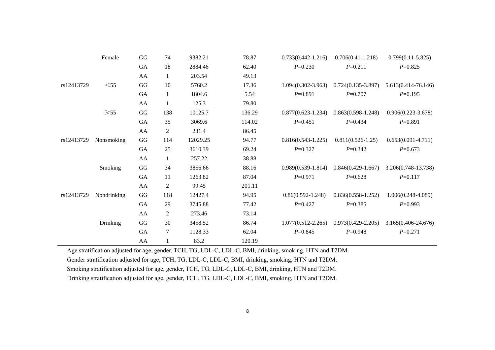|            | Female         | $\mathbf{G}\mathbf{G}$ | 74             | 9382.21  | 78.87  | $0.733(0.442 - 1.216)$ | $0.706(0.41 - 1.218)$  | $0.799(0.11 - 5.825)$  |
|------------|----------------|------------------------|----------------|----------|--------|------------------------|------------------------|------------------------|
|            |                | GA                     | 18             | 2884.46  | 62.40  | $P=0.230$              | $P=0.211$              | $P=0.825$              |
|            |                | AA                     | 1              | 203.54   | 49.13  |                        |                        |                        |
| rs12413729 | $<$ 55         | GG                     | 10             | 5760.2   | 17.36  | $1.094(0.302 - 3.963)$ | $0.724(0.135-3.897)$   | 5.613(0.414-76.146)    |
|            |                | GA                     | 1              | 1804.6   | 5.54   | $P=0.891$              | $P = 0.707$            | $P=0.195$              |
|            |                | AA                     | $\mathbf{1}$   | 125.3    | 79.80  |                        |                        |                        |
|            | $\geqslant$ 55 | GG                     | 138            | 10125.7  | 136.29 | $0.877(0.623 - 1.234)$ | $0.863(0.598-1.248)$   | $0.906(0.223 - 3.678)$ |
|            |                | GA                     | 35             | 3069.6   | 114.02 | $P=0.451$              | $P=0.434$              | $P=0.891$              |
|            |                | AA                     | 2              | 231.4    | 86.45  |                        |                        |                        |
| rs12413729 | Nonsmoking     | $\mathbf{G}\mathbf{G}$ | 114            | 12029.25 | 94.77  | $0.816(0.543-1.225)$   | $0.811(0.526-1.25)$    | $0.653(0.091 - 4.711)$ |
|            |                | GA                     | 25             | 3610.39  | 69.24  | $P=0.327$              | $P=0.342$              | $P=0.673$              |
|            |                | AA                     | $\mathbf{1}$   | 257.22   | 38.88  |                        |                        |                        |
|            | Smoking        | $\mathbf{G}\mathbf{G}$ | 34             | 3856.66  | 88.16  | $0.989(0.539-1.814)$   | $0.846(0.429 - 1.667)$ | 3.206(0.748-13.738)    |
|            |                | <b>GA</b>              | 11             | 1263.82  | 87.04  | $P=0.971$              | $P=0.628$              | $P=0.117$              |
|            |                | AA                     | $\mathfrak{2}$ | 99.45    | 201.11 |                        |                        |                        |
| rs12413729 | Nondrinking    | $\mathbf{G}\mathbf{G}$ | 118            | 12427.4  | 94.95  | $0.86(0.592 - 1.248)$  | $0.836(0.558-1.252)$   | $1.006(0.248 - 4.089)$ |
|            |                | GA                     | 29             | 3745.88  | 77.42  | $P = 0.427$            | $P=0.385$              | $P=0.993$              |
|            |                | AA                     | $\mathfrak{2}$ | 273.46   | 73.14  |                        |                        |                        |
|            | Drinking       | GG                     | 30             | 3458.52  | 86.74  | $1.077(0.512 - 2.265)$ | $0.973(0.429 - 2.205)$ | 3.165(0.406-24.676)    |
|            |                | GA                     | 7              | 1128.33  | 62.04  | $P=0.845$              | $P=0.948$              | $P=0.271$              |
|            |                | AA                     | 1              | 83.2     | 120.19 |                        |                        |                        |

Age stratification adjusted for age, gender, TCH, TG, LDL-C, LDL-C, BMI, drinking, smoking, HTN and T2DM.

Gender stratification adjusted for age, TCH, TG, LDL-C, LDL-C, BMI, drinking, smoking, HTN and T2DM.

Smoking stratification adjusted for age, gender, TCH, TG, LDL-C, LDL-C, BMI, drinking, HTN and T2DM.

Drinking stratification adjusted for age, gender, TCH, TG, LDL-C, LDL-C, BMI, smoking, HTN and T2DM.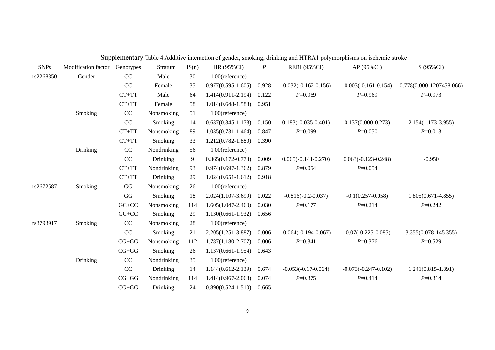| <b>SNPs</b> | Modification factor | Genotypes | Stratum     | IS(n) | HR (95%CI)             | $\boldsymbol{P}$ | Dupplementary Table Triddin's interaction of genter, sinoking, amiking and fifteen porymorphisms on isenemic stroke<br><b>RERI</b> (95%CI) | $AP(95\%CI)$           | S (95%CI)                |
|-------------|---------------------|-----------|-------------|-------|------------------------|------------------|--------------------------------------------------------------------------------------------------------------------------------------------|------------------------|--------------------------|
| rs2268350   | Gender              | CC        | Male        | 30    | 1.00(reference)        |                  |                                                                                                                                            |                        |                          |
|             |                     | CC        | Female      | 35    | $0.977(0.595 - 1.605)$ | 0.928            | $-0.032(-0.162-0.156)$                                                                                                                     | $-0.003(-0.161-0.154)$ | 0.778(0.000-1207458.066) |
|             |                     | $CT+TT$   | Male        | 64    | 1.414(0.911-2.194)     | 0.122            | $P=0.969$                                                                                                                                  | $P=0.969$              | $P=0.973$                |
|             |                     | $CT+TT$   | Female      | 58    | $1.014(0.648 - 1.588)$ | 0.951            |                                                                                                                                            |                        |                          |
|             | Smoking             | CC        | Nonsmoking  | 51    | 1.00(reference)        |                  |                                                                                                                                            |                        |                          |
|             |                     | CC        | Smoking     | 14    | $0.637(0.345 - 1.178)$ | 0.150            | $0.183(-0.035-0.401)$                                                                                                                      | $0.137(0.000 - 0.273)$ | 2.154(1.173-3.955)       |
|             |                     | $CT+TT$   | Nonsmoking  | 89    | $1.035(0.731 - 1.464)$ | 0.847            | $P=0.099$                                                                                                                                  | $P=0.050$              | $P=0.013$                |
|             |                     | $CT+TT$   | Smoking     | 33    | 1.212(0.782-1.880)     | 0.390            |                                                                                                                                            |                        |                          |
|             | Drinking            | CC        | Nondrinking | 56    | 1.00(reference)        |                  |                                                                                                                                            |                        |                          |
|             |                     | $\rm CC$  | Drinking    | 9     | $0.365(0.172 - 0.773)$ | 0.009            | $0.065(-0.141-0.270)$                                                                                                                      | $0.063(-0.123-0.248)$  | $-0.950$                 |
|             |                     | $CT+TT$   | Nondrinking | 93    | $0.974(0.697 - 1.362)$ | 0.879            | $P = 0.054$                                                                                                                                | $P=0.054$              |                          |
|             |                     | $CT+TT$   | Drinking    | 29    | $1.024(0.651 - 1.612)$ | 0.918            |                                                                                                                                            |                        |                          |
| rs2672587   | Smoking             | GG        | Nonsmoking  | 26    | 1.00(reference)        |                  |                                                                                                                                            |                        |                          |
|             |                     | GG        | Smoking     | 18    | 2.024(1.107-3.699)     | 0.022            | $-0.816(-0.2-0.037)$                                                                                                                       | $-0.1(0.257 - 0.058)$  | $1.805(0.671 - 4.855)$   |
|             |                     | $GC+CC$   | Nonsmoking  | 114   | $1.605(1.047 - 2.460)$ | 0.030            | $P = 0.177$                                                                                                                                | $P=0.214$              | $P=0.242$                |
|             |                     | $GC+CC$   | Smoking     | 29    | $1.130(0.661 - 1.932)$ | 0.656            |                                                                                                                                            |                        |                          |
| rs3793917   | Smoking             | CC        | Nonsmoking  | 28    | 1.00(reference)        |                  |                                                                                                                                            |                        |                          |
|             |                     | CC        | Smoking     | 21    | 2.205(1.251-3.887)     | 0.006            | $-0.064(-0.194-0.067)$                                                                                                                     | $-0.07(-0.225-0.085)$  | 3.355(0.078-145.355)     |
|             |                     | $CG+GG$   | Nonsmoking  | 112   | $1.787(1.180 - 2.707)$ | 0.006            | $P=0.341$                                                                                                                                  | $P=0.376$              | $P=0.529$                |
|             |                     | $CG+GG$   | Smoking     | 26    | $1.137(0.661 - 1.954)$ | 0.643            |                                                                                                                                            |                        |                          |
|             | Drinking            | $\rm CC$  | Nondrinking | 35    | 1.00(reference)        |                  |                                                                                                                                            |                        |                          |
|             |                     | $\rm CC$  | Drinking    | 14    | $1.144(0.612 - 2.139)$ | 0.674            | $-0.053(-0.17-0.064)$                                                                                                                      | $-0.073(-0.247-0.102)$ | $1.241(0.815 - 1.891)$   |
|             |                     | $CG+GG$   | Nondrinking | 114   | 1.414(0.967-2.068)     | 0.074            | $P = 0.375$                                                                                                                                | $P = 0.414$            | $P=0.314$                |
|             |                     | $CG+GG$   | Drinking    | 24    | $0.890(0.524 - 1.510)$ | 0.665            |                                                                                                                                            |                        |                          |

Supplementary Table 4 Additive interaction of gender, smoking, drinking and HTRA1 polymorphisms on ischemic stroke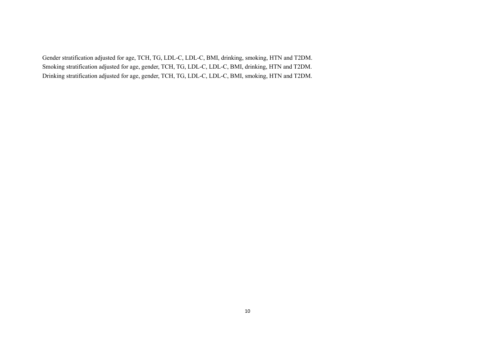Gender stratification adjusted for age, TCH, TG, LDL-C, LDL-C, BMI, drinking, smoking, HTN and T2DM. Smoking stratification adjusted for age, gender, TCH, TG, LDL-C, LDL-C, BMI, drinking, HTN and T2DM. Drinking stratification adjusted for age, gender, TCH, TG, LDL-C, LDL-C, BMI, smoking, HTN and T2DM.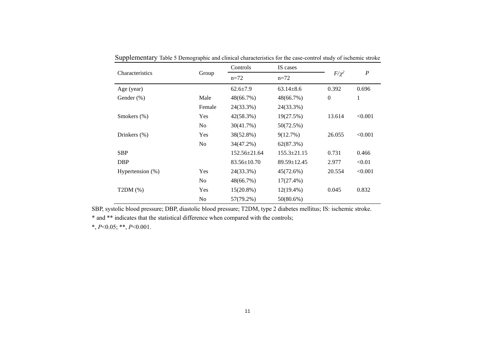|                  |                | Controls           | IS cases          |                |                  |  |
|------------------|----------------|--------------------|-------------------|----------------|------------------|--|
| Characteristics  | Group          | $n=72$             | $n=72$            | $F/\chi^2$     | $\boldsymbol{P}$ |  |
| Age (year)       |                | $62.6 \pm 7.9$     | $63.14 \pm 8.6$   | 0.392          | 0.696            |  |
| Gender $(\%)$    | Male           | 48(66.7%)          | 48(66.7%)         | $\overline{0}$ | 1                |  |
|                  | Female         | 24(33.3%)          | 24(33.3%)         |                |                  |  |
| Smokers $(\%)$   | Yes            | 42(58.3%)          | 19(27.5%)         | 13.614         | < 0.001          |  |
|                  | No             | 30(41.7%)          | 50(72.5%)         |                |                  |  |
| Drinkers $(\%)$  | Yes            | 38(52.8%)          | 9(12.7%)          | 26.055         | < 0.001          |  |
|                  | N <sub>o</sub> | 34(47.2%)          | 62(87.3%)         |                |                  |  |
| <b>SBP</b>       |                | $152.56 \pm 21.64$ | $155.3 \pm 21.15$ | 0.731          | 0.466            |  |
| <b>DBP</b>       |                | $83.56 \pm 10.70$  | $89.59 \pm 12.45$ | 2.977          | < 0.01           |  |
| Hypertension (%) | Yes            | 24(33.3%)          | 45(72.6%)         | 20.554         | < 0.001          |  |
|                  | No             | 48(66.7%)          | $17(27.4\%)$      |                |                  |  |
| T2DM(%)          | Yes            | $15(20.8\%)$       | $12(19.4\%)$      | 0.045          | 0.832            |  |
|                  | N <sub>0</sub> | 57(79.2%)          | 50(80.6%)         |                |                  |  |

Supplementary Table 5 Demographic and clinical characteristics for the case-control study of ischemic stroke

SBP, systolic blood pressure; DBP, diastolic blood pressure; T2DM, type 2 diabetes mellitus; IS: ischemic stroke.

\* and \*\* indicates that the statistical difference when compared with the controls;

\*, *P*<0.05; \*\*, *P*<0.001.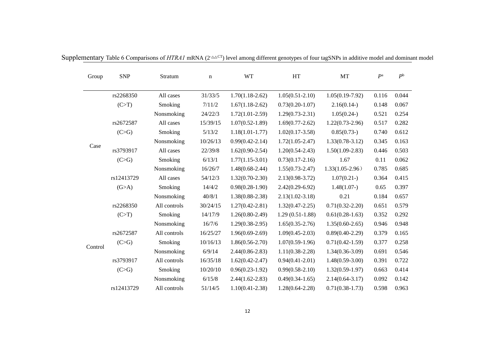| Group   | <b>SNP</b> | Stratum      | $\mathbf n$ | <b>WT</b>           | HT                  | MT                  | $P^{\rm a}$ | $P^{\rm b}$ |
|---------|------------|--------------|-------------|---------------------|---------------------|---------------------|-------------|-------------|
|         | rs2268350  | All cases    | 31/33/5     | $1.70(1.18-2.62)$   | $1.05(0.51 - 2.10)$ | $1.05(0.19-7.92)$   | 0.116       | 0.044       |
|         | (C>T)      | Smoking      | 7/11/2      | $1.67(1.18-2.62)$   | $0.73(0.20-1.07)$   | $2.16(0.14-)$       | 0.148       | 0.067       |
|         |            | Nonsmoking   | 24/22/3     | $1.72(1.01 - 2.59)$ | $1.29(0.73 - 2.31)$ | $1.05(0.24-)$       | 0.521       | 0.254       |
|         | rs2672587  | All cases    | 15/39/15    | $1.07(0.52 - 1.89)$ | $1.69(0.77-2.62)$   | $1.22(0.73-2.96)$   | 0.517       | 0.282       |
|         | (C>G)      | Smoking      | 5/13/2      | $1.18(1.01 - 1.77)$ | $1.02(0.17-3.58)$   | $0.85(0.73-)$       | 0.740       | 0.612       |
|         |            | Nonsmoking   | 10/26/13    | $0.99(0.42 - 2.14)$ | $1.72(1.05 - 2.47)$ | $1.33(0.78-3.12)$   | 0.345       | 0.163       |
| Case    | rs3793917  | All cases    | 22/39/8     | $1.62(0.90-2.54)$   | $1.20(0.54 - 2.43)$ | $1.50(1.09-2.83)$   | 0.446       | 0.503       |
|         | (C>G)      | Smoking      | 6/13/1      | $1.77(1.15-3.01)$   | $0.73(0.17-2.16)$   | 1.67                | 0.11        | 0.062       |
|         |            | Nonsmoking   | 16/26/7     | $1.48(0.68-2.44)$   | $1.55(0.73 - 2.47)$ | $1.33(1.05-2.96)$   | 0.785       | 0.685       |
|         | rs12413729 | All cases    | 54/12/3     | $1.32(0.70-2.30)$   | $2.13(0.98 - 3.72)$ | 1.07(0.21)          | 0.364       | 0.415       |
|         | (G>A)      | Smoking      | 14/4/2      | $0.98(0.28-1.90)$   | $2.42(0.29-6.92)$   | 1.48(1.07)          | 0.65        | 0.397       |
|         |            | Nonsmoking   | 40/8/1      | $1.38(0.88-2.38)$   | $2.13(1.02 - 3.18)$ | 0.21                | 0.184       | 0.657       |
|         | rs2268350  | All controls | 30/24/15    | $1.27(0.42 - 2.81)$ | $1.32(0.47 - 2.25)$ | $0.71(0.32 - 2.20)$ | 0.651       | 0.579       |
|         | (C>T)      | Smoking      | 14/17/9     | $1.26(0.80-2.49)$   | $1.29(0.51-1.88)$   | $0.61(0.28-1.63)$   | 0.352       | 0.292       |
|         |            | Nonsmoking   | 16/7/6      | $1.29(0.38-2.95)$   | $1.65(0.35-2.76)$   | $1.35(0.60-2.65)$   | 0.946       | 0.948       |
|         | rs2672587  | All controls | 16/25/27    | $1.96(0.69-2.69)$   | $1.09(0.45 - 2.03)$ | $0.89(0.40-2.29)$   | 0.379       | 0.165       |
| Control | (C>G)      | Smoking      | 10/16/13    | $1.86(0.56-2.70)$   | $1.07(0.59-1.96)$   | $0.71(0.42 - 1.59)$ | 0.377       | 0.258       |
|         |            | Nonsmoking   | 6/9/14      | $2.44(0.86 - 2.83)$ | $1.11(0.38-2.28)$   | $1.34(0.36-3.09)$   | 0.691       | 0.546       |
|         | rs3793917  | All controls | 16/35/18    | $1.62(0.42 - 2.47)$ | $0.94(0.41 - 2.01)$ | $1.48(0.59-3.00)$   | 0.391       | 0.722       |
|         | (C>G)      | Smoking      | 10/20/10    | $0.96(0.23-1.92)$   | $0.99(0.58 - 2.10)$ | $1.32(0.59-1.97)$   | 0.663       | 0.414       |
|         |            | Nonsmoking   | 6/15/8      | $2.44(1.62 - 2.83)$ | $0.49(0.34-1.65)$   | $2.14(0.64 - 3.17)$ | 0.092       | 0.142       |
|         | rs12413729 | All controls | 51/14/5     | $1.10(0.41 - 2.38)$ | $1.28(0.64 - 2.28)$ | $0.71(0.38-1.73)$   | 0.598       | 0.963       |

Supplementary Table 6 Comparisons of *HTRA1* mRNA (2<sup>-△△CT</sup>) level among different genotypes of four tagSNPs in additive model and dominant model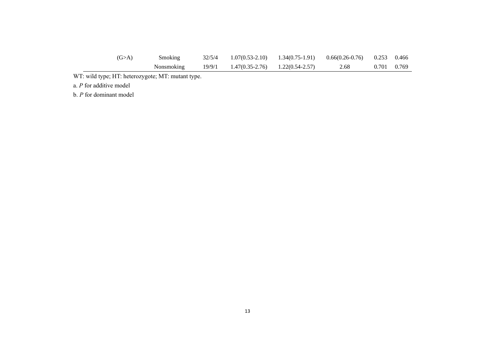| (G>A) | Smoking           |        | 32/5/4 1.07(0.53-2.10) 1.34(0.75-1.91) 0.66(0.26-0.76) 0.253 0.466 |      |             |  |
|-------|-------------------|--------|--------------------------------------------------------------------|------|-------------|--|
|       | <b>Nonsmoking</b> | 19/9/1 | $1.47(0.35-2.76)$ $1.22(0.54-2.57)$                                | 2.68 | 0.701 0.769 |  |

WT: wild type; HT: heterozygote; MT: mutant type.

a. *P* for additive model

b. *P* for dominant model